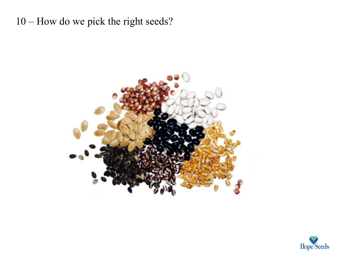10 – How do we pick the right seeds?



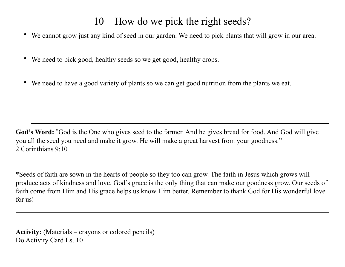## 10 – How do we pick the right seeds?

- We cannot grow just any kind of seed in our garden. We need to pick plants that will grow in our area.
- We need to pick good, healthy seeds so we get good, healthy crops.
- We need to have a good variety of plants so we can get good nutrition from the plants we eat.

**God's Word: "**God is the One who gives seed to the farmer. And he gives bread for food. And God will give you all the seed you need and make it grow. He will make a great harvest from your goodness." 2 Corinthians 9:10

\*Seeds of faith are sown in the hearts of people so they too can grow. The faith in Jesus which grows will produce acts of kindness and love. God's grace is the only thing that can make our goodness grow. Our seeds of faith come from Him and His grace helps us know Him better. Remember to thank God for His wonderful love for us!

**Activity:** (Materials – crayons or colored pencils) Do Activity Card Ls. 10